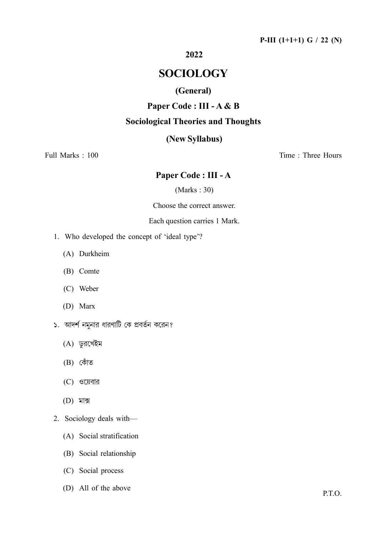#### P-III (1+1+1) G / 22 (N)

## 2022

# SOCIOLOGY

## (General)

## Paper Code : III - A & B

#### Sociological Theories and Thoughts

## (New Syllabus)

Full Marks : 100 Time : Three Hours

## Paper Code : III - A

(Marks : 30)

Choose the correct answer.

#### Each question carries 1 Mark.

- 1. Who developed the concept of 'ideal type'?
	- (A) Durkheim
	- (B) Comte
	- (C) Weber
	- (D) Marx
- ১. আদর্শ নমুনার ধারণাটি কে প্রবর্তন করেন?
	- (A) ডুরখেইম
	- (B)
	- $(C)$  ওয়েবার
	- (D)
- 2. Sociology deals with—
	- (A) Social stratification
	- (B) Social relationship
	- (C) Social process
	- (D) All of the above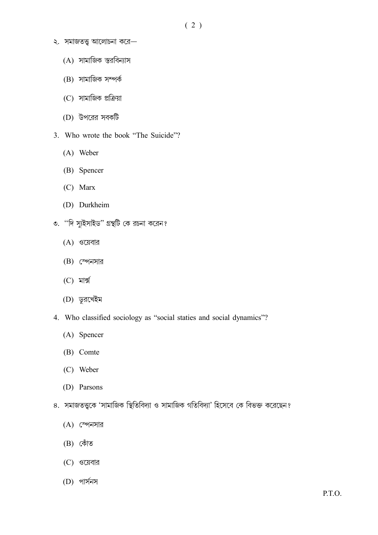- ( 2 )
- $\lambda$ . সমাজতত্ত্ব আলোচনা করে—
	- (A)
	- (B) সামাজিক সম্পৰ্ক
	- (C) সামাজিক প্রক্রিয়া
	- (D) উপরের সবকটি
- 3. Who wrote the book "The Suicide"?
	- (A) Weber
	- (B) Spencer
	- (C) Marx
	- (D) Durkheim
- ৩. "দি স্যুইসাইড" গ্রন্থটি কে রচনা করেন?
	- $(A)$  ওয়েবার
	- (B) স্পেনসার
	- $(C)$  মার্ক্স
	- (D) ডুরখেইম
- 4. Who classified sociology as "social staties and social dynamics"?
	- (A) Spencer
	- (B) Comte
	- (C) Weber
	- (D) Parsons
- ৪. সমাজতত্ত্বকে 'সামাজিক স্থিতিবিদ্যা ও সামাজিক গতিবিদ্যা' হিসেবে কে বিভক্ত করেছেন?
	- (A) স্পেনসার
	- (B)
	- (C) ওয়েবার
	- (D)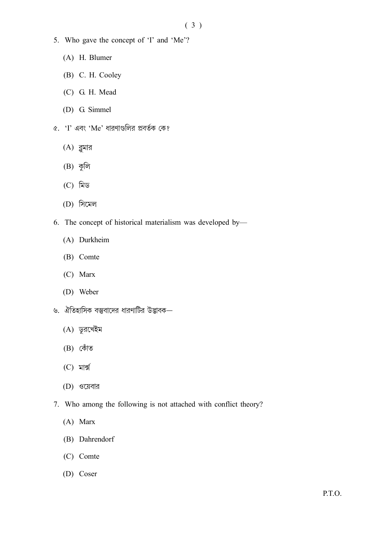- 5. Who gave the concept of 'I' and 'Me'?
	- (A) H. Blumer
	- (B) C. H. Cooley
	- (C) G. H. Mead
	- (D) G. Simmel
- $\alpha$ . 'I' এবং 'Me' ধারণাগুলির প্রবর্তক কে?
	- $(A)$  ব্লুমার
	- $(B)$  কুলি
	- $(C)$  মিড
	- (D)
- 6. The concept of historical materialism was developed by—
	- (A) Durkheim
	- (B) Comte
	- (C) Marx
	- (D) Weber
- ৬. ঐতিহাসিক বস্তুবাদের ধারণাটির উদ্ভাবক—
	- (A) ডুরখেইম
	- (B)
	- $(C)$  মাৰ্ক্স
	- (D)
- 7. Who among the following is not attached with conflict theory?
	- (A) Marx
	- (B) Dahrendorf
	- (C) Comte
	- (D) Coser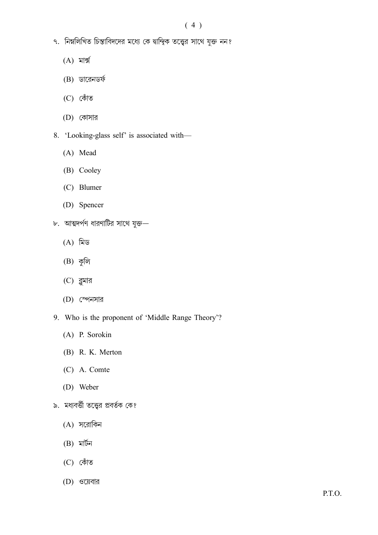- ৭. নিম্নলিখিত চিন্তাবিদদের মধ্যে কে দ্বান্দ্বিক তত্ত্বের সাথে যুক্ত নন?
	- $(A)$  মাৰ্ক্স
	- $(B)$  ডারেনডর্ফ
	- (C)
	- (D)
- 8. 'Looking-glass self' is associated with—
	- (A) Mead
	- (B) Cooley
	- (C) Blumer
	- (D) Spencer
- ৮. আত্মদর্পণ ধারণাটির সাথে যুক্ত—
	- (A)
	- $(B)$  কুলি
	- $(C)$  ব্লুমার
	- (D)
- 9. Who is the proponent of 'Middle Range Theory'?
	- (A) P. Sorokin
	- (B) R. K. Merton
	- (C) A. Comte
	- (D) Weber
- ৯. মধ্যবর্ত্তী তত্ত্বের প্রবর্তক কে?
	- (A)
	- $(B)$  মাৰ্টন
	- (C)
	- (D)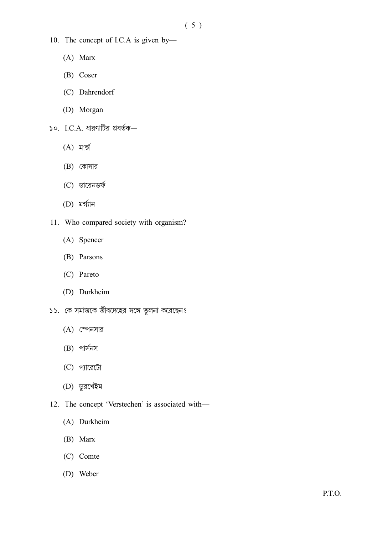- 10. The concept of I.C.A is given by—
	- (A) Marx
	- (B) Coser
	- (C) Dahrendorf
	- (D) Morgan
- $\circ$ . I.C.A. ধারণাটির প্রবর্তক—
	- $(A)$  মাৰ্ক্স
	- (B) কোসার
	- (C) ডারেনডর্ফ
	- (D)
- 11. Who compared society with organism?
	- (A) Spencer
	- (B) Parsons
	- (C) Pareto
	- (D) Durkheim
- ১১. কে সমাজকে জীবদেহের সঙ্গে তুলনা করেছেন?
	- (A) স্পেনসার
	- $(B)$  পার্সনস
	- (C) প্যারেটো
	- (D)
- 12. The concept 'Verstechen' is associated with—
	- (A) Durkheim
	- (B) Marx
	- (C) Comte
	- (D) Weber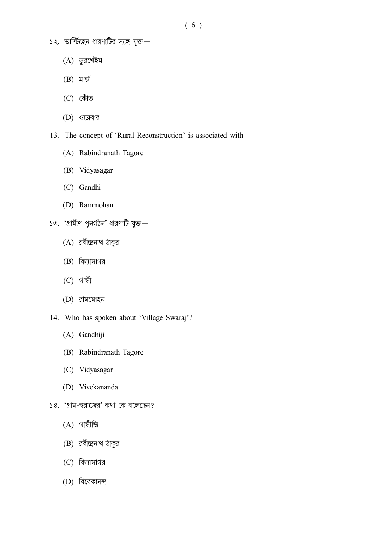- ( 6 )
- $\sim$ ২. ভার্স্টিহেন ধারণাটির সঙ্গে যুক্ত—
	- (A) ডুরখেইম
	- $(B)$  মাৰ্ক্স
	- (C)
	- (D) ওয়েবার
- 13. The concept of 'Rural Reconstruction' is associated with—
	- (A) Rabindranath Tagore
	- (B) Vidyasagar
	- (C) Gandhi
	- (D) Rammohan
- $\circ$ . 'গ্রামীণ পুনর্গ $\delta$ ন' ধারণাটি যুক্ত—
	- (A) রবীন্দ্রনাথ ঠাকুর
	- (B)
	- $(C)$  গান্ধী
	- (D)
- 14. Who has spoken about 'Village Swaraj'?
	- (A) Gandhiji
	- (B) Rabindranath Tagore
	- (C) Vidyasagar
	- (D) Vivekananda
- ১৪. 'গ্রাম-স্বরাজের' কথা কে বলেছেন?
	- $(A)$  গান্ধীজি
	- (B) রবীন্দ্রনাথ ঠাকুর
	- (C)
	- (D)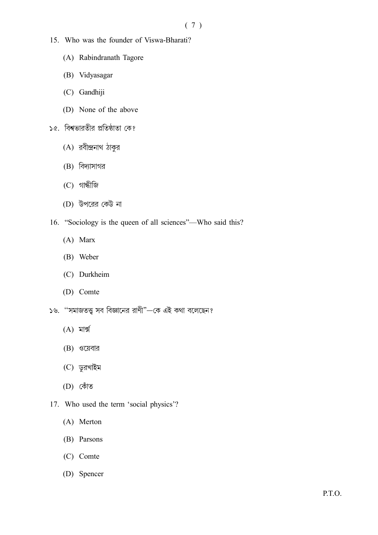- 15. Who was the founder of Viswa-Bharati?
	- (A) Rabindranath Tagore
	- (B) Vidyasagar
	- (C) Gandhiji
	- (D) None of the above
- ১৫. বিশ্বভারতীর প্রতিষ্ঠাতা কে?
	- (A) রবীন্দ্রনাথ ঠাকুর
	- (B)
	- (C)
	- (D) উপরের কেউ না
- 16. "Sociology is the queen of all sciences"—Who said this?
	- (A) Marx
	- (B) Weber
	- (C) Durkheim
	- (D) Comte
- ১৬. "সমাজতত্ত সব বিজ্ঞানের রাণী"—কে এই কথা বলেছেন?
	- $(A)$  মাৰ্ক্স
	- $(B)$  ওয়েবার
	- (C) ডুরখাইম
	- (D)
- 17. Who used the term 'social physics'?
	- (A) Merton
	- (B) Parsons
	- (C) Comte
	- (D) Spencer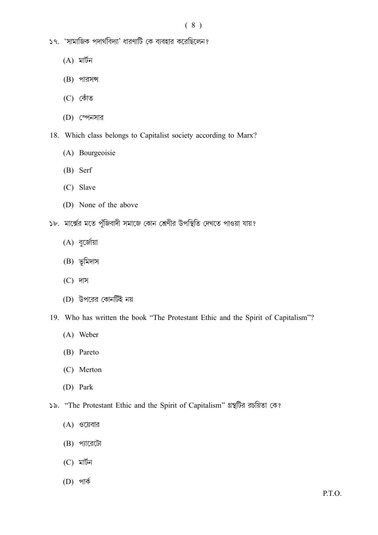- ১৭. 'সামাজিক পদার্থবিদ্যা' ধারণাটি কে ব্যবহার করেছিলেন?
	- $(A)$  মাৰ্টন
	- $(B)$  পারসন্স
	- (C)
	- (D)
- 18. Which class belongs to Capitalist society according to Marx?
	- (A) Bourgeoisie
	- (B) Serf
	- (C) Slave
	- (D) None of the above
- ১৮. মার্ক্সের মতে পুঁজিবাদী সমাজে কোন শ্রেণীর উপস্থিতি দেখতে পাওয়া যায়?
	- (A) বুর্জোয়া
	- (B) ভূমিদাস
	- (C)
	- (D) উপরের কোনটিই নয়
- 19. Who has written the book "The Protestant Ethic and the Spirit of Capitalism"?
	- (A) Weber
	- (B) Pareto
	- (C) Merton
	- (D) Park
- "The Protestant Ethic and the Spirit of Capitalism"
	- (A) ওয়েবার
	- $(B)$  পারেটো
	- $(C)$  মাৰ্টন
	- (D)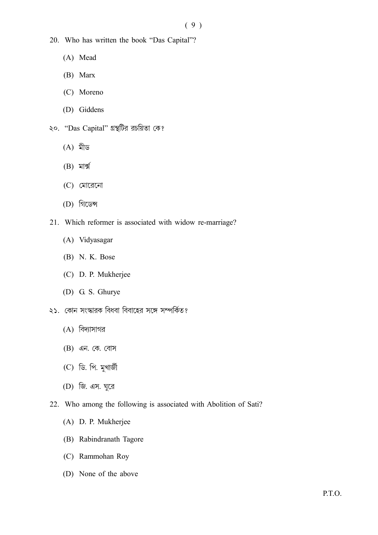- 20. Who has written the book "Das Capital"?
	- (A) Mead
	- (B) Marx
	- (C) Moreno
	- (D) Giddens
- ২০. "Das Capital" গ্রন্থটির রচয়িতা কে?
	- $(A)$  মীড
	- $(B)$  মাৰ্ক্স
	- (C)
	- (D)
- 21. Which reformer is associated with widow re-marriage?
	- (A) Vidyasagar
	- (B) N. K. Bose
	- (C) D. P. Mukherjee
	- (D) G. S. Ghurye
- ২১. কোন সংস্কারক বিধবা বিবাহের সঙ্গে সম্পর্কিত?
	- (A)
	- (B) এন. কে. বোস
	- (C) ডি. পি. মুখার্জী
	- (D) জি. এস. ঘুরে
- 22. Who among the following is associated with Abolition of Sati?
	- (A) D. P. Mukherjee
	- (B) Rabindranath Tagore
	- (C) Rammohan Roy
	- (D) None of the above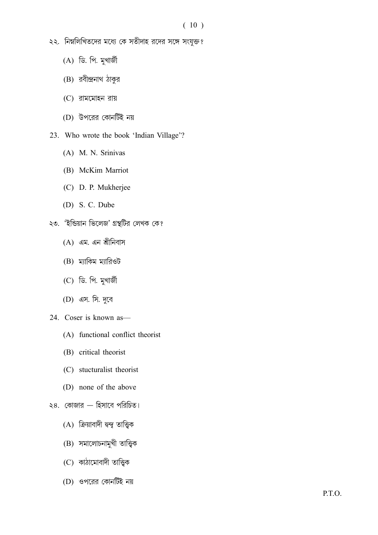- ২২. নিম্নলিখিতদের মধ্যে কে সতীদাহ রদের সঙ্গে সংযুক্ত?
	- (A) ডি. পি. মুখার্জী
	- (B) রবীন্দ্রনাথ ঠাকুর
	- (C)
	- (D)
- 23. Who wrote the book 'Indian Village'?
	- (A) M. N. Srinivas
	- (B) McKim Marriot
	- (C) D. P. Mukherjee
	- (D) S. C. Dube
- ২৩. 'ইন্ডিয়ান ভিলেজ' গ্রন্থটির লেখক কে?
	- (A) এম. এন শ্রীনিবাস
	- (B) ম্যাকিম ম্যারিওট
	- (C) ডি. পি. মুখার্জী
	- (D) এস. সি. দুবে
- 24. Coser is known as—
	- (A) functional conflict theorist
	- (B) critical theorist
	- (C) stucturalist theorist
	- (D) none of the above
- ২৪. কোজার হিসাবে পরিচিত।
	- (A) ক্রিয়াবাদী দ্বন্দু তাত্ত্বিক
	- (B) সমালোচনামুখী তাত্ত্বিক
	- (C) কাঠামোবাদী তাত্ত্বিক
	- (D)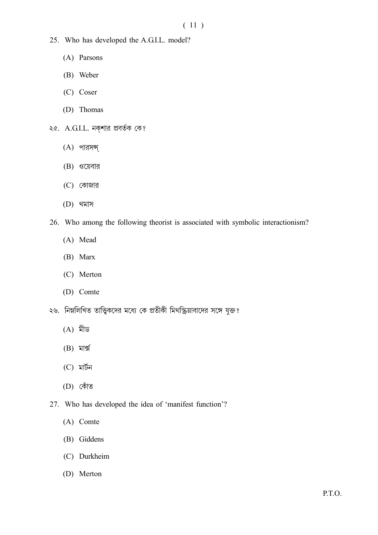- 25. Who has developed the A.G.I.L. model?
	- (A) Parsons
	- (B) Weber
	- (C) Coser
	- (D) Thomas
- ২৫. A.G.I.L. নক্শার প্রবর্তক কে?
	- (A)
	- $(B)$  ওয়েবার
	- $(C)$  কোজার
	- (D)
- 26. Who among the following theorist is associated with symbolic interactionism?
	- (A) Mead
	- (B) Marx
	- (C) Merton
	- (D) Comte
- ২৬. নিম্নলিখিত তাত্ত্বিকদের মধ্যে কে প্রতীকী মিথস্ক্রিয়াবাদের সঙ্গে যুক্ত?
	- $(A)$  মীড
	- $(B)$  মাৰ্ক্স
	- $(C)$  মাৰ্টন
	- (D)
- 27. Who has developed the idea of 'manifest function'?
	- (A) Comte
	- (B) Giddens
	- (C) Durkheim
	- (D) Merton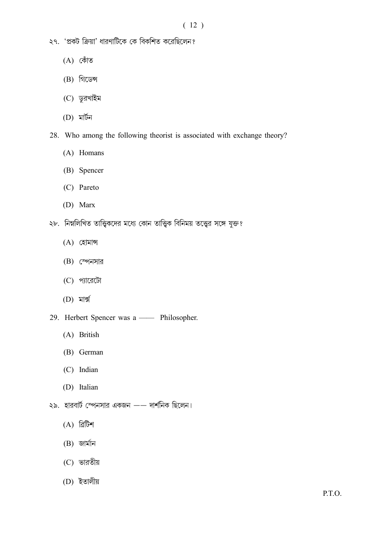- ২৭. 'প্রকট ক্রিয়া' ধারণাটিকে কে বিকশিত করেছিলেন?
	- (A)
	- (B)
	- (C) ডুরখাইম
	- (D)
- 28. Who among the following theorist is associated with exchange theory?
	- (A) Homans
	- (B) Spencer
	- (C) Pareto
	- (D) Marx
- ২৮. নিম্নলিখিত তাত্ত্বিকদের মধ্যে কোন তাত্ত্বিক বিনিময় তত্ত্বের সঙ্গে যুক্ত?
	- (A)
	- (B) স্পেনসার
	- (C) প্যারেটো
	- (D)
- 29. Herbert Spencer was a —— Philosopher.
	- (A) British
	- (B) German
	- (C) Indian
	- (D) Italian
- ২৯. হারবার্ট স্পেনসার একজন —— দার্শনিক ছিলেন।
	- $(A)$  ৱিটিশ
	- $(B)$  জাৰ্মান
	- (C)
	- (D)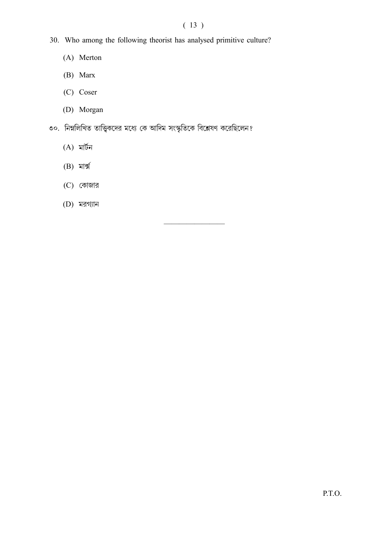## ( 13 )

————————

- 30. Who among the following theorist has analysed primitive culture?
	- (A) Merton
	- (B) Marx
	- (C) Coser
	- (D) Morgan
- ৩০. নিম্নলিখিত তাত্ত্বিকদের মধ্যে কে আদিম সংস্কৃতিকে বিশ্লেষণ করেছিলেন?
	- $(A)$  মাৰ্টন
	- (B)
	- $(C)$  কোজার
	- (D)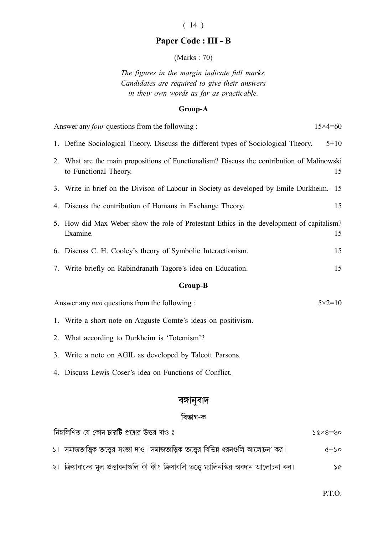## ( 14 )

## Paper Code : III - B

(Marks : 70)

The figures in the margin indicate full marks. Candidates are required to give their answers in their own words as far as practicable.

#### Group-A

| Answer any four questions from the following:                     |                                                                                                                     | $15\times4=60$ |  |  |
|-------------------------------------------------------------------|---------------------------------------------------------------------------------------------------------------------|----------------|--|--|
|                                                                   | 1. Define Sociological Theory. Discuss the different types of Sociological Theory.                                  | $5 + 10$       |  |  |
|                                                                   | 2. What are the main propositions of Functionalism? Discuss the contribution of Malinowski<br>to Functional Theory. | 15             |  |  |
|                                                                   | 3. Write in brief on the Divison of Labour in Society as developed by Emile Durkheim.                               | 15             |  |  |
|                                                                   | 4. Discuss the contribution of Homans in Exchange Theory.                                                           | 15             |  |  |
|                                                                   | 5. How did Max Weber show the role of Protestant Ethics in the development of capitalism?<br>Examine.               | 15             |  |  |
|                                                                   | 6. Discuss C. H. Cooley's theory of Symbolic Interactionism.                                                        | 15             |  |  |
|                                                                   | 7. Write briefly on Rabindranath Tagore's idea on Education.                                                        | 15             |  |  |
| <b>Group-B</b>                                                    |                                                                                                                     |                |  |  |
| Answer any two questions from the following:<br>$5 \times 2 = 10$ |                                                                                                                     |                |  |  |
|                                                                   | 1. Write a short note on Auguste Comte's ideas on positivism.                                                       |                |  |  |
|                                                                   | 2. What according to Durkheim is 'Totemism'?                                                                        |                |  |  |
|                                                                   | 3. Write a note on AGIL as developed by Talcott Parsons.                                                            |                |  |  |
|                                                                   | 4. Discuss Lewis Coser's idea on Functions of Conflict.                                                             |                |  |  |
|                                                                   |                                                                                                                     |                |  |  |

## বঙ্গানুবাদ

## বিভাগ-ক

| নিম্নলিখিত যে কোন <b>চারটি</b> প্রশ্নের উত্তর দাও ঃ                                         | $0$ ৶ $=$ ৪ $\times$ ১ |
|---------------------------------------------------------------------------------------------|------------------------|
| ১। সমাজতাত্ত্বিক তত্ত্বের সংজ্ঞা দাও। সমাজতাত্ত্বিক তত্ত্বের বিভিন্ন ধরনগুলি আলোচনা কর।     | $\alpha + 50$          |
| ২। ক্রিয়াবাদের মূল প্রস্তাবনাগুলি কী কী? ক্রিয়াবাদী তত্ত্বে ম্যালিনস্কির অবদান আলোচনা কর। | ১৫                     |

P.T.O.